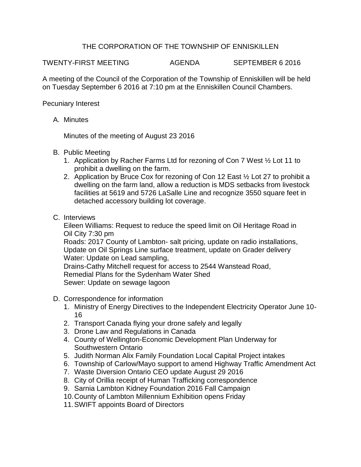## THE CORPORATION OF THE TOWNSHIP OF ENNISKILLEN

TWENTY-FIRST MEETING AGENDA SEPTEMBER 6 2016

A meeting of the Council of the Corporation of the Township of Enniskillen will be held on Tuesday September 6 2016 at 7:10 pm at the Enniskillen Council Chambers.

Pecuniary Interest

A. Minutes

Minutes of the meeting of August 23 2016

- B. Public Meeting
	- 1. Application by Racher Farms Ltd for rezoning of Con 7 West ½ Lot 11 to prohibit a dwelling on the farm.
	- 2. Application by Bruce Cox for rezoning of Con 12 East ½ Lot 27 to prohibit a dwelling on the farm land, allow a reduction is MDS setbacks from livestock facilities at 5619 and 5726 LaSalle Line and recognize 3550 square feet in detached accessory building lot coverage.
- C. Interviews

Eileen Williams: Request to reduce the speed limit on Oil Heritage Road in Oil City 7:30 pm

Roads: 2017 County of Lambton- salt pricing, update on radio installations, Update on Oil Springs Line surface treatment, update on Grader delivery Water: Update on Lead sampling,

Drains-Cathy Mitchell request for access to 2544 Wanstead Road, Remedial Plans for the Sydenham Water Shed Sewer: Update on sewage lagoon

- D. Correspondence for information
	- 1. Ministry of Energy Directives to the Independent Electricity Operator June 10- 16
	- 2. Transport Canada flying your drone safely and legally
	- 3. Drone Law and Regulations in Canada
	- 4. County of Wellington-Economic Development Plan Underway for Southwestern Ontario
	- 5. Judith Norman Alix Family Foundation Local Capital Project intakes
	- 6. Township of Carlow/Mayo support to amend Highway Traffic Amendment Act
	- 7. Waste Diversion Ontario CEO update August 29 2016
	- 8. City of Orillia receipt of Human Trafficking correspondence
	- 9. Sarnia Lambton Kidney Foundation 2016 Fall Campaign
	- 10.County of Lambton Millennium Exhibition opens Friday
	- 11.SWIFT appoints Board of Directors